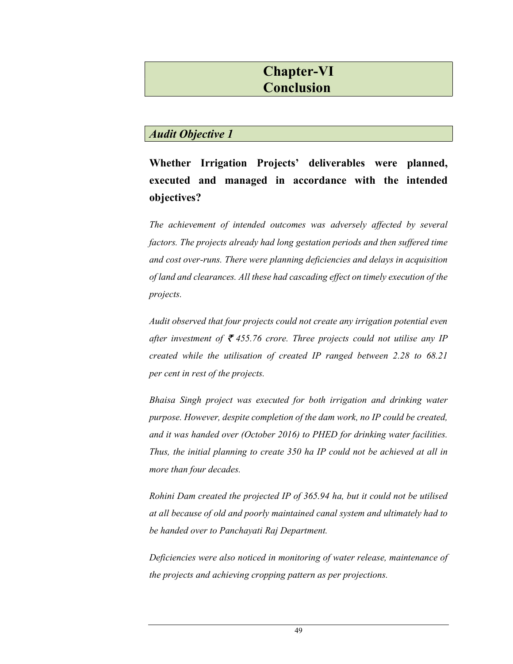## Chapter-VI **Conclusion**

## Audit Objective 1

Whether Irrigation Projects' deliverables were planned, executed and managed in accordance with the intended objectives?

The achievement of intended outcomes was adversely affected by several factors. The projects already had long gestation periods and then suffered time and cost over-runs. There were planning deficiencies and delays in acquisition of land and clearances. All these had cascading effect on timely execution of the projects.

Audit observed that four projects could not create any irrigation potential even after investment of  $\bar{\tau}$  455.76 crore. Three projects could not utilise any IP created while the utilisation of created IP ranged between 2.28 to 68.21 per cent in rest of the projects.

Bhaisa Singh project was executed for both irrigation and drinking water purpose. However, despite completion of the dam work, no IP could be created, and it was handed over (October 2016) to PHED for drinking water facilities. Thus, the initial planning to create 350 ha IP could not be achieved at all in more than four decades.

Rohini Dam created the projected IP of 365.94 ha, but it could not be utilised at all because of old and poorly maintained canal system and ultimately had to be handed over to Panchayati Raj Department.

Deficiencies were also noticed in monitoring of water release, maintenance of the projects and achieving cropping pattern as per projections.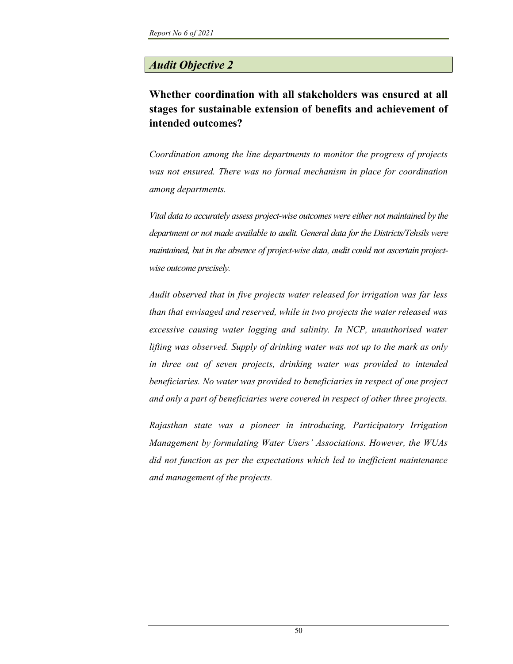## Audit Objective 2

Whether coordination with all stakeholders was ensured at all stages for sustainable extension of benefits and achievement of intended outcomes?

Coordination among the line departments to monitor the progress of projects was not ensured. There was no formal mechanism in place for coordination among departments.

Vital data to accurately assess project-wise outcomes were either not maintained by the department or not made available to audit. General data for the Districts/Tehsils were maintained, but in the absence of project-wise data, audit could not ascertain projectwise outcome precisely.

Audit observed that in five projects water released for irrigation was far less than that envisaged and reserved, while in two projects the water released was excessive causing water logging and salinity. In NCP, unauthorised water lifting was observed. Supply of drinking water was not up to the mark as only in three out of seven projects, drinking water was provided to intended beneficiaries. No water was provided to beneficiaries in respect of one project and only a part of beneficiaries were covered in respect of other three projects.

Rajasthan state was a pioneer in introducing, Participatory Irrigation Management by formulating Water Users' Associations. However, the WUAs did not function as per the expectations which led to inefficient maintenance and management of the projects.